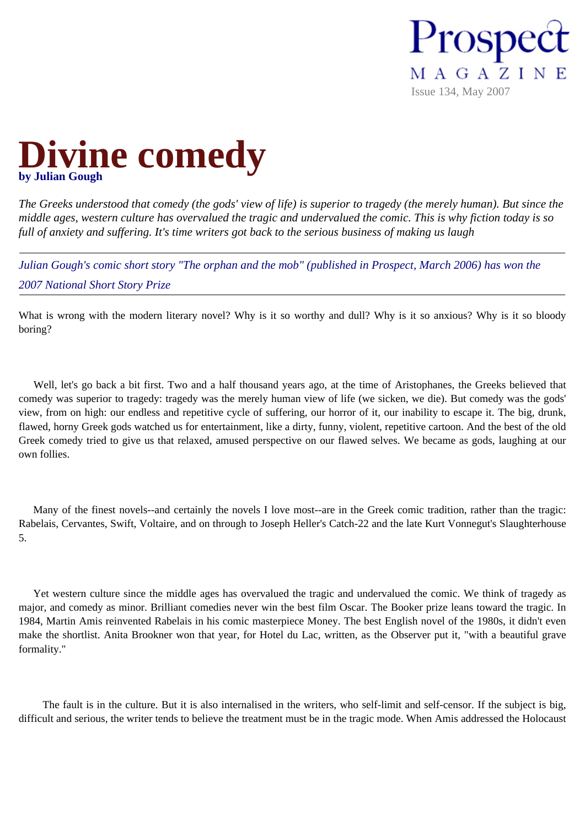



*The Greeks understood that comedy (the gods' view of life) is superior to tragedy (the merely human). But since the middle ages, western culture has overvalued the tragic and undervalued the comic. This is why fiction today is so full of anxiety and suffering. It's time writers got back to the serious business of making us laugh* 

*Julian Gough's comic short story "The orphan and the mob" (published in Prospect, March 2006) has won the 2007 National Short Story Prize*

What is wrong with the modern literary novel? Why is it so worthy and dull? Why is it so anxious? Why is it so bloody boring?

 Well, let's go back a bit first. Two and a half thousand years ago, at the time of Aristophanes, the Greeks believed that comedy was superior to tragedy: tragedy was the merely human view of life (we sicken, we die). But comedy was the gods' view, from on high: our endless and repetitive cycle of suffering, our horror of it, our inability to escape it. The big, drunk, flawed, horny Greek gods watched us for entertainment, like a dirty, funny, violent, repetitive cartoon. And the best of the old Greek comedy tried to give us that relaxed, amused perspective on our flawed selves. We became as gods, laughing at our own follies.

 Many of the finest novels--and certainly the novels I love most--are in the Greek comic tradition, rather than the tragic: Rabelais, Cervantes, Swift, Voltaire, and on through to Joseph Heller's Catch-22 and the late Kurt Vonnegut's Slaughterhouse 5.

 Yet western culture since the middle ages has overvalued the tragic and undervalued the comic. We think of tragedy as major, and comedy as minor. Brilliant comedies never win the best film Oscar. The Booker prize leans toward the tragic. In 1984, Martin Amis reinvented Rabelais in his comic masterpiece Money. The best English novel of the 1980s, it didn't even make the shortlist. Anita Brookner won that year, for Hotel du Lac, written, as the Observer put it, "with a beautiful grave formality."

 The fault is in the culture. But it is also internalised in the writers, who self-limit and self-censor. If the subject is big, difficult and serious, the writer tends to believe the treatment must be in the tragic mode. When Amis addressed the Holocaust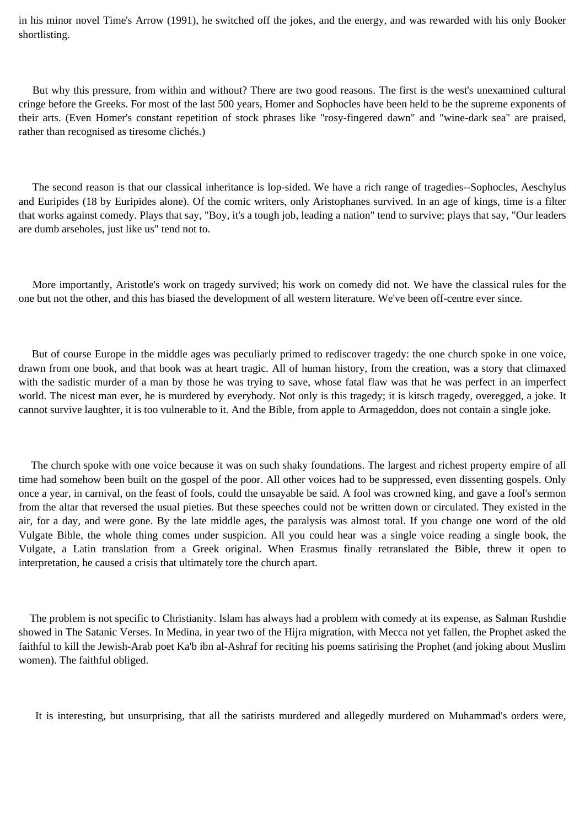in his minor novel Time's Arrow (1991), he switched off the jokes, and the energy, and was rewarded with his only Booker shortlisting.

 But why this pressure, from within and without? There are two good reasons. The first is the west's unexamined cultural cringe before the Greeks. For most of the last 500 years, Homer and Sophocles have been held to be the supreme exponents of their arts. (Even Homer's constant repetition of stock phrases like "rosy-fingered dawn" and "wine-dark sea" are praised, rather than recognised as tiresome clichés.)

 The second reason is that our classical inheritance is lop-sided. We have a rich range of tragedies--Sophocles, Aeschylus and Euripides (18 by Euripides alone). Of the comic writers, only Aristophanes survived. In an age of kings, time is a filter that works against comedy. Plays that say, "Boy, it's a tough job, leading a nation" tend to survive; plays that say, "Our leaders are dumb arseholes, just like us" tend not to.

 More importantly, Aristotle's work on tragedy survived; his work on comedy did not. We have the classical rules for the one but not the other, and this has biased the development of all western literature. We've been off-centre ever since.

 But of course Europe in the middle ages was peculiarly primed to rediscover tragedy: the one church spoke in one voice, drawn from one book, and that book was at heart tragic. All of human history, from the creation, was a story that climaxed with the sadistic murder of a man by those he was trying to save, whose fatal flaw was that he was perfect in an imperfect world. The nicest man ever, he is murdered by everybody. Not only is this tragedy; it is kitsch tragedy, overegged, a joke. It cannot survive laughter, it is too vulnerable to it. And the Bible, from apple to Armageddon, does not contain a single joke.

 The church spoke with one voice because it was on such shaky foundations. The largest and richest property empire of all time had somehow been built on the gospel of the poor. All other voices had to be suppressed, even dissenting gospels. Only once a year, in carnival, on the feast of fools, could the unsayable be said. A fool was crowned king, and gave a fool's sermon from the altar that reversed the usual pieties. But these speeches could not be written down or circulated. They existed in the air, for a day, and were gone. By the late middle ages, the paralysis was almost total. If you change one word of the old Vulgate Bible, the whole thing comes under suspicion. All you could hear was a single voice reading a single book, the Vulgate, a Latin translation from a Greek original. When Erasmus finally retranslated the Bible, threw it open to interpretation, he caused a crisis that ultimately tore the church apart.

 The problem is not specific to Christianity. Islam has always had a problem with comedy at its expense, as Salman Rushdie showed in The Satanic Verses. In Medina, in year two of the Hijra migration, with Mecca not yet fallen, the Prophet asked the faithful to kill the Jewish-Arab poet Ka'b ibn al-Ashraf for reciting his poems satirising the Prophet (and joking about Muslim women). The faithful obliged.

It is interesting, but unsurprising, that all the satirists murdered and allegedly murdered on Muhammad's orders were,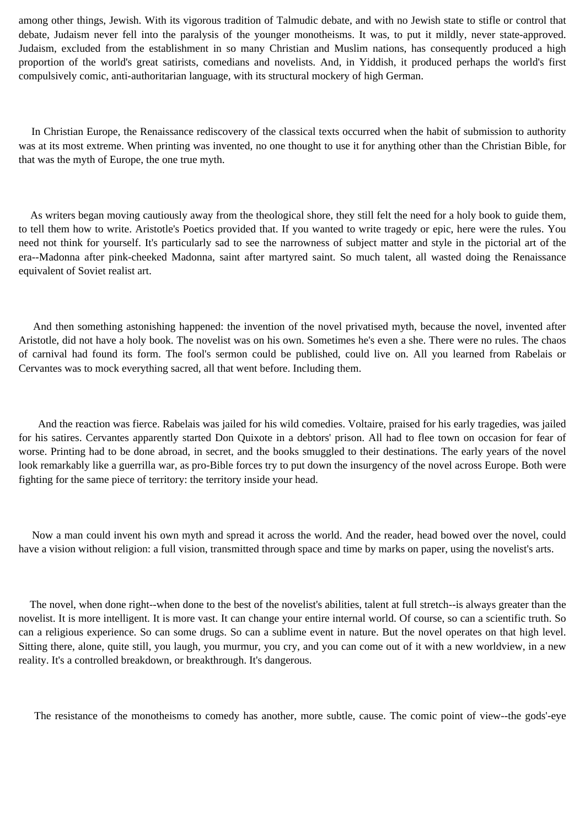among other things, Jewish. With its vigorous tradition of Talmudic debate, and with no Jewish state to stifle or control that debate, Judaism never fell into the paralysis of the younger monotheisms. It was, to put it mildly, never state-approved. Judaism, excluded from the establishment in so many Christian and Muslim nations, has consequently produced a high proportion of the world's great satirists, comedians and novelists. And, in Yiddish, it produced perhaps the world's first compulsively comic, anti-authoritarian language, with its structural mockery of high German.

 In Christian Europe, the Renaissance rediscovery of the classical texts occurred when the habit of submission to authority was at its most extreme. When printing was invented, no one thought to use it for anything other than the Christian Bible, for that was the myth of Europe, the one true myth.

 As writers began moving cautiously away from the theological shore, they still felt the need for a holy book to guide them, to tell them how to write. Aristotle's Poetics provided that. If you wanted to write tragedy or epic, here were the rules. You need not think for yourself. It's particularly sad to see the narrowness of subject matter and style in the pictorial art of the era--Madonna after pink-cheeked Madonna, saint after martyred saint. So much talent, all wasted doing the Renaissance equivalent of Soviet realist art.

 And then something astonishing happened: the invention of the novel privatised myth, because the novel, invented after Aristotle, did not have a holy book. The novelist was on his own. Sometimes he's even a she. There were no rules. The chaos of carnival had found its form. The fool's sermon could be published, could live on. All you learned from Rabelais or Cervantes was to mock everything sacred, all that went before. Including them.

 And the reaction was fierce. Rabelais was jailed for his wild comedies. Voltaire, praised for his early tragedies, was jailed for his satires. Cervantes apparently started Don Quixote in a debtors' prison. All had to flee town on occasion for fear of worse. Printing had to be done abroad, in secret, and the books smuggled to their destinations. The early years of the novel look remarkably like a guerrilla war, as pro-Bible forces try to put down the insurgency of the novel across Europe. Both were fighting for the same piece of territory: the territory inside your head.

 Now a man could invent his own myth and spread it across the world. And the reader, head bowed over the novel, could have a vision without religion: a full vision, transmitted through space and time by marks on paper, using the novelist's arts.

 The novel, when done right--when done to the best of the novelist's abilities, talent at full stretch--is always greater than the novelist. It is more intelligent. It is more vast. It can change your entire internal world. Of course, so can a scientific truth. So can a religious experience. So can some drugs. So can a sublime event in nature. But the novel operates on that high level. Sitting there, alone, quite still, you laugh, you murmur, you cry, and you can come out of it with a new worldview, in a new reality. It's a controlled breakdown, or breakthrough. It's dangerous.

The resistance of the monotheisms to comedy has another, more subtle, cause. The comic point of view--the gods'-eye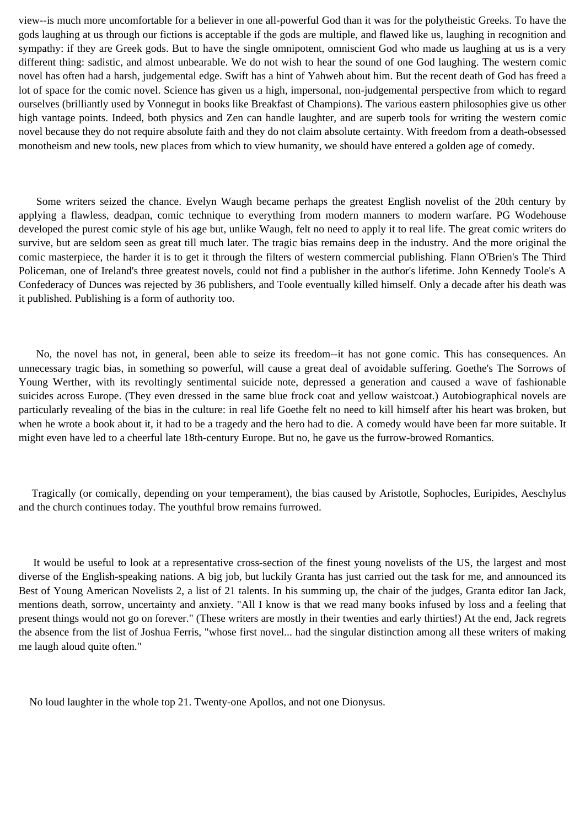view--is much more uncomfortable for a believer in one all-powerful God than it was for the polytheistic Greeks. To have the gods laughing at us through our fictions is acceptable if the gods are multiple, and flawed like us, laughing in recognition and sympathy: if they are Greek gods. But to have the single omnipotent, omniscient God who made us laughing at us is a very different thing: sadistic, and almost unbearable. We do not wish to hear the sound of one God laughing. The western comic novel has often had a harsh, judgemental edge. Swift has a hint of Yahweh about him. But the recent death of God has freed a lot of space for the comic novel. Science has given us a high, impersonal, non-judgemental perspective from which to regard ourselves (brilliantly used by Vonnegut in books like Breakfast of Champions). The various eastern philosophies give us other high vantage points. Indeed, both physics and Zen can handle laughter, and are superb tools for writing the western comic novel because they do not require absolute faith and they do not claim absolute certainty. With freedom from a death-obsessed monotheism and new tools, new places from which to view humanity, we should have entered a golden age of comedy.

 Some writers seized the chance. Evelyn Waugh became perhaps the greatest English novelist of the 20th century by applying a flawless, deadpan, comic technique to everything from modern manners to modern warfare. PG Wodehouse developed the purest comic style of his age but, unlike Waugh, felt no need to apply it to real life. The great comic writers do survive, but are seldom seen as great till much later. The tragic bias remains deep in the industry. And the more original the comic masterpiece, the harder it is to get it through the filters of western commercial publishing. Flann O'Brien's The Third Policeman, one of Ireland's three greatest novels, could not find a publisher in the author's lifetime. John Kennedy Toole's A Confederacy of Dunces was rejected by 36 publishers, and Toole eventually killed himself. Only a decade after his death was it published. Publishing is a form of authority too.

 No, the novel has not, in general, been able to seize its freedom--it has not gone comic. This has consequences. An unnecessary tragic bias, in something so powerful, will cause a great deal of avoidable suffering. Goethe's The Sorrows of Young Werther, with its revoltingly sentimental suicide note, depressed a generation and caused a wave of fashionable suicides across Europe. (They even dressed in the same blue frock coat and yellow waistcoat.) Autobiographical novels are particularly revealing of the bias in the culture: in real life Goethe felt no need to kill himself after his heart was broken, but when he wrote a book about it, it had to be a tragedy and the hero had to die. A comedy would have been far more suitable. It might even have led to a cheerful late 18th-century Europe. But no, he gave us the furrow-browed Romantics.

 Tragically (or comically, depending on your temperament), the bias caused by Aristotle, Sophocles, Euripides, Aeschylus and the church continues today. The youthful brow remains furrowed.

 It would be useful to look at a representative cross-section of the finest young novelists of the US, the largest and most diverse of the English-speaking nations. A big job, but luckily Granta has just carried out the task for me, and announced its Best of Young American Novelists 2, a list of 21 talents. In his summing up, the chair of the judges, Granta editor Ian Jack, mentions death, sorrow, uncertainty and anxiety. "All I know is that we read many books infused by loss and a feeling that present things would not go on forever." (These writers are mostly in their twenties and early thirties!) At the end, Jack regrets the absence from the list of Joshua Ferris, "whose first novel... had the singular distinction among all these writers of making me laugh aloud quite often."

No loud laughter in the whole top 21. Twenty-one Apollos, and not one Dionysus.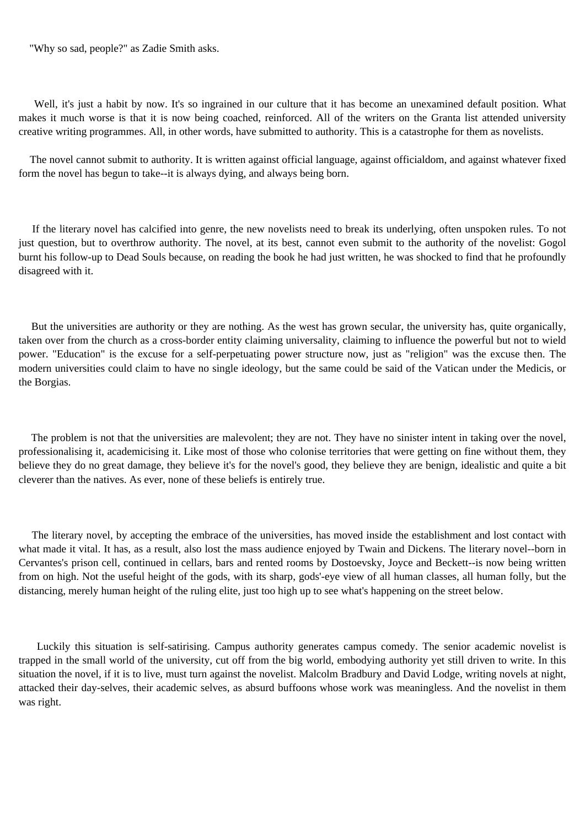"Why so sad, people?" as Zadie Smith asks.

Well, it's just a habit by now. It's so ingrained in our culture that it has become an unexamined default position. What makes it much worse is that it is now being coached, reinforced. All of the writers on the Granta list attended university creative writing programmes. All, in other words, have submitted to authority. This is a catastrophe for them as novelists.

 The novel cannot submit to authority. It is written against official language, against officialdom, and against whatever fixed form the novel has begun to take--it is always dying, and always being born.

 If the literary novel has calcified into genre, the new novelists need to break its underlying, often unspoken rules. To not just question, but to overthrow authority. The novel, at its best, cannot even submit to the authority of the novelist: Gogol burnt his follow-up to Dead Souls because, on reading the book he had just written, he was shocked to find that he profoundly disagreed with it.

 But the universities are authority or they are nothing. As the west has grown secular, the university has, quite organically, taken over from the church as a cross-border entity claiming universality, claiming to influence the powerful but not to wield power. "Education" is the excuse for a self-perpetuating power structure now, just as "religion" was the excuse then. The modern universities could claim to have no single ideology, but the same could be said of the Vatican under the Medicis, or the Borgias.

 The problem is not that the universities are malevolent; they are not. They have no sinister intent in taking over the novel, professionalising it, academicising it. Like most of those who colonise territories that were getting on fine without them, they believe they do no great damage, they believe it's for the novel's good, they believe they are benign, idealistic and quite a bit cleverer than the natives. As ever, none of these beliefs is entirely true.

 The literary novel, by accepting the embrace of the universities, has moved inside the establishment and lost contact with what made it vital. It has, as a result, also lost the mass audience enjoyed by Twain and Dickens. The literary novel--born in Cervantes's prison cell, continued in cellars, bars and rented rooms by Dostoevsky, Joyce and Beckett--is now being written from on high. Not the useful height of the gods, with its sharp, gods'-eye view of all human classes, all human folly, but the distancing, merely human height of the ruling elite, just too high up to see what's happening on the street below.

 Luckily this situation is self-satirising. Campus authority generates campus comedy. The senior academic novelist is trapped in the small world of the university, cut off from the big world, embodying authority yet still driven to write. In this situation the novel, if it is to live, must turn against the novelist. Malcolm Bradbury and David Lodge, writing novels at night, attacked their day-selves, their academic selves, as absurd buffoons whose work was meaningless. And the novelist in them was right.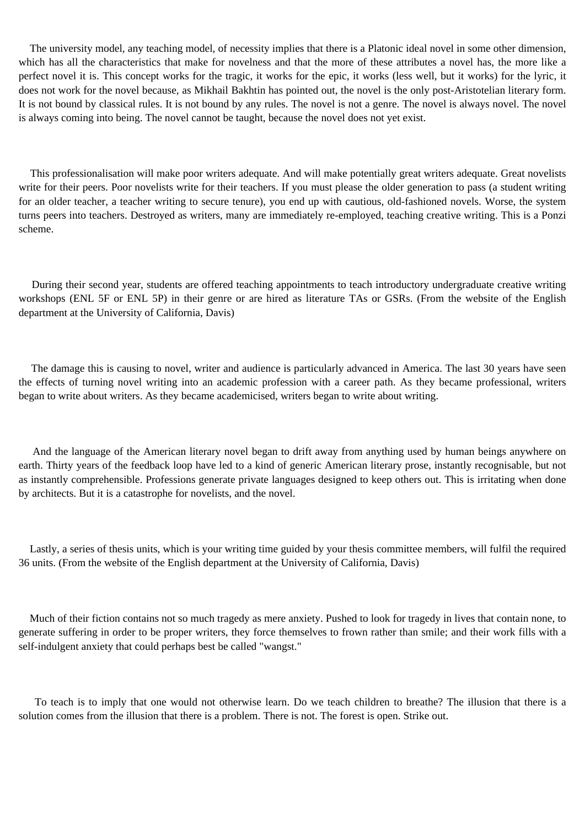The university model, any teaching model, of necessity implies that there is a Platonic ideal novel in some other dimension, which has all the characteristics that make for novelness and that the more of these attributes a novel has, the more like a perfect novel it is. This concept works for the tragic, it works for the epic, it works (less well, but it works) for the lyric, it does not work for the novel because, as Mikhail Bakhtin has pointed out, the novel is the only post-Aristotelian literary form. It is not bound by classical rules. It is not bound by any rules. The novel is not a genre. The novel is always novel. The novel is always coming into being. The novel cannot be taught, because the novel does not yet exist.

 This professionalisation will make poor writers adequate. And will make potentially great writers adequate. Great novelists write for their peers. Poor novelists write for their teachers. If you must please the older generation to pass (a student writing for an older teacher, a teacher writing to secure tenure), you end up with cautious, old-fashioned novels. Worse, the system turns peers into teachers. Destroyed as writers, many are immediately re-employed, teaching creative writing. This is a Ponzi scheme.

 During their second year, students are offered teaching appointments to teach introductory undergraduate creative writing workshops (ENL 5F or ENL 5P) in their genre or are hired as literature TAs or GSRs. (From the website of the English department at the University of California, Davis)

 The damage this is causing to novel, writer and audience is particularly advanced in America. The last 30 years have seen the effects of turning novel writing into an academic profession with a career path. As they became professional, writers began to write about writers. As they became academicised, writers began to write about writing.

 And the language of the American literary novel began to drift away from anything used by human beings anywhere on earth. Thirty years of the feedback loop have led to a kind of generic American literary prose, instantly recognisable, but not as instantly comprehensible. Professions generate private languages designed to keep others out. This is irritating when done by architects. But it is a catastrophe for novelists, and the novel.

 Lastly, a series of thesis units, which is your writing time guided by your thesis committee members, will fulfil the required 36 units. (From the website of the English department at the University of California, Davis)

 Much of their fiction contains not so much tragedy as mere anxiety. Pushed to look for tragedy in lives that contain none, to generate suffering in order to be proper writers, they force themselves to frown rather than smile; and their work fills with a self-indulgent anxiety that could perhaps best be called "wangst."

 To teach is to imply that one would not otherwise learn. Do we teach children to breathe? The illusion that there is a solution comes from the illusion that there is a problem. There is not. The forest is open. Strike out.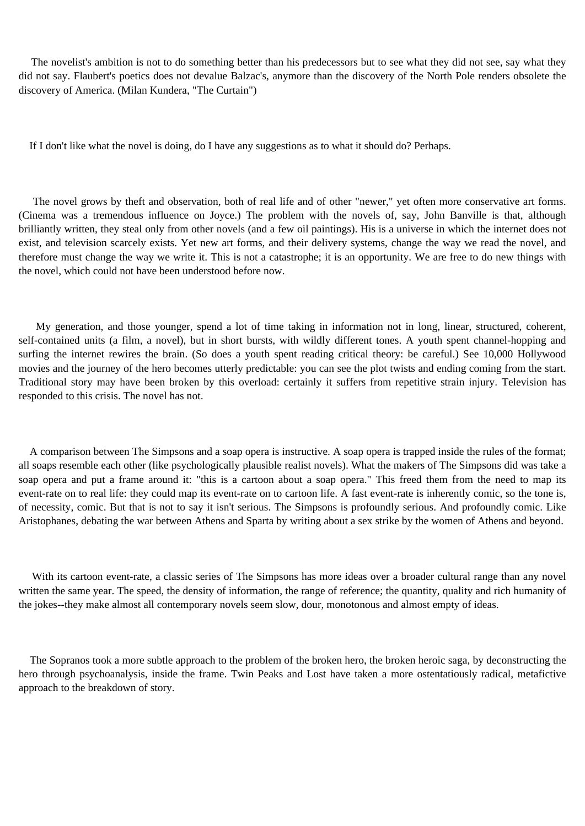The novelist's ambition is not to do something better than his predecessors but to see what they did not see, say what they did not say. Flaubert's poetics does not devalue Balzac's, anymore than the discovery of the North Pole renders obsolete the discovery of America. (Milan Kundera, "The Curtain")

If I don't like what the novel is doing, do I have any suggestions as to what it should do? Perhaps.

 The novel grows by theft and observation, both of real life and of other "newer," yet often more conservative art forms. (Cinema was a tremendous influence on Joyce.) The problem with the novels of, say, John Banville is that, although brilliantly written, they steal only from other novels (and a few oil paintings). His is a universe in which the internet does not exist, and television scarcely exists. Yet new art forms, and their delivery systems, change the way we read the novel, and therefore must change the way we write it. This is not a catastrophe; it is an opportunity. We are free to do new things with the novel, which could not have been understood before now.

 My generation, and those younger, spend a lot of time taking in information not in long, linear, structured, coherent, self-contained units (a film, a novel), but in short bursts, with wildly different tones. A youth spent channel-hopping and surfing the internet rewires the brain. (So does a youth spent reading critical theory: be careful.) See 10,000 Hollywood movies and the journey of the hero becomes utterly predictable: you can see the plot twists and ending coming from the start. Traditional story may have been broken by this overload: certainly it suffers from repetitive strain injury. Television has responded to this crisis. The novel has not.

 A comparison between The Simpsons and a soap opera is instructive. A soap opera is trapped inside the rules of the format; all soaps resemble each other (like psychologically plausible realist novels). What the makers of The Simpsons did was take a soap opera and put a frame around it: "this is a cartoon about a soap opera." This freed them from the need to map its event-rate on to real life: they could map its event-rate on to cartoon life. A fast event-rate is inherently comic, so the tone is, of necessity, comic. But that is not to say it isn't serious. The Simpsons is profoundly serious. And profoundly comic. Like Aristophanes, debating the war between Athens and Sparta by writing about a sex strike by the women of Athens and beyond.

 With its cartoon event-rate, a classic series of The Simpsons has more ideas over a broader cultural range than any novel written the same year. The speed, the density of information, the range of reference; the quantity, quality and rich humanity of the jokes--they make almost all contemporary novels seem slow, dour, monotonous and almost empty of ideas.

 The Sopranos took a more subtle approach to the problem of the broken hero, the broken heroic saga, by deconstructing the hero through psychoanalysis, inside the frame. Twin Peaks and Lost have taken a more ostentatiously radical, metafictive approach to the breakdown of story.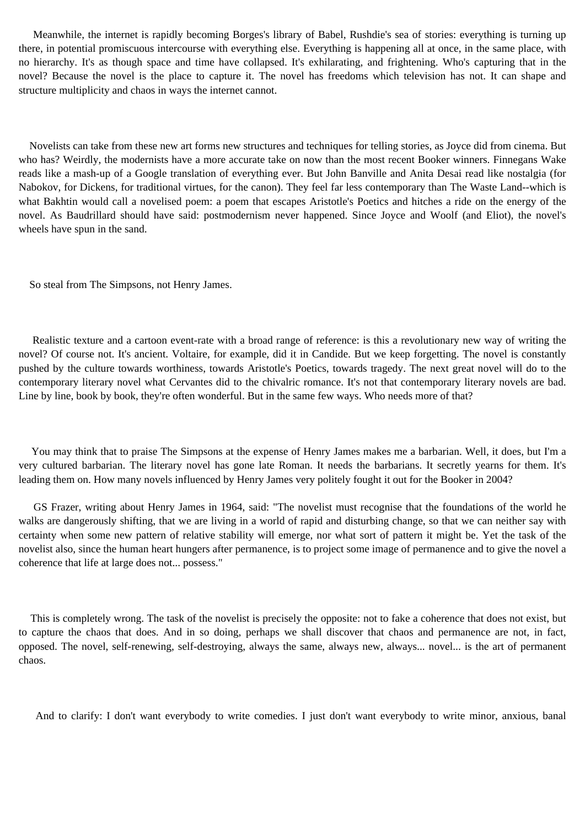Meanwhile, the internet is rapidly becoming Borges's library of Babel, Rushdie's sea of stories: everything is turning up there, in potential promiscuous intercourse with everything else. Everything is happening all at once, in the same place, with no hierarchy. It's as though space and time have collapsed. It's exhilarating, and frightening. Who's capturing that in the novel? Because the novel is the place to capture it. The novel has freedoms which television has not. It can shape and structure multiplicity and chaos in ways the internet cannot.

 Novelists can take from these new art forms new structures and techniques for telling stories, as Joyce did from cinema. But who has? Weirdly, the modernists have a more accurate take on now than the most recent Booker winners. Finnegans Wake reads like a mash-up of a Google translation of everything ever. But John Banville and Anita Desai read like nostalgia (for Nabokov, for Dickens, for traditional virtues, for the canon). They feel far less contemporary than The Waste Land--which is what Bakhtin would call a novelised poem: a poem that escapes Aristotle's Poetics and hitches a ride on the energy of the novel. As Baudrillard should have said: postmodernism never happened. Since Joyce and Woolf (and Eliot), the novel's wheels have spun in the sand.

So steal from The Simpsons, not Henry James.

 Realistic texture and a cartoon event-rate with a broad range of reference: is this a revolutionary new way of writing the novel? Of course not. It's ancient. Voltaire, for example, did it in Candide. But we keep forgetting. The novel is constantly pushed by the culture towards worthiness, towards Aristotle's Poetics, towards tragedy. The next great novel will do to the contemporary literary novel what Cervantes did to the chivalric romance. It's not that contemporary literary novels are bad. Line by line, book by book, they're often wonderful. But in the same few ways. Who needs more of that?

 You may think that to praise The Simpsons at the expense of Henry James makes me a barbarian. Well, it does, but I'm a very cultured barbarian. The literary novel has gone late Roman. It needs the barbarians. It secretly yearns for them. It's leading them on. How many novels influenced by Henry James very politely fought it out for the Booker in 2004?

 GS Frazer, writing about Henry James in 1964, said: "The novelist must recognise that the foundations of the world he walks are dangerously shifting, that we are living in a world of rapid and disturbing change, so that we can neither say with certainty when some new pattern of relative stability will emerge, nor what sort of pattern it might be. Yet the task of the novelist also, since the human heart hungers after permanence, is to project some image of permanence and to give the novel a coherence that life at large does not... possess."

 This is completely wrong. The task of the novelist is precisely the opposite: not to fake a coherence that does not exist, but to capture the chaos that does. And in so doing, perhaps we shall discover that chaos and permanence are not, in fact, opposed. The novel, self-renewing, self-destroying, always the same, always new, always... novel... is the art of permanent chaos.

And to clarify: I don't want everybody to write comedies. I just don't want everybody to write minor, anxious, banal